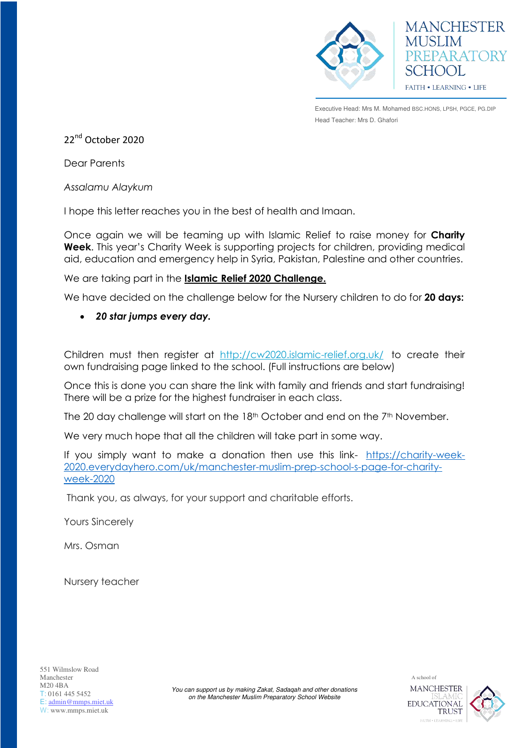

Executive Head: Mrs M. Mohamed BSC.HONS, LPSH, PGCE, PG.DIP Head Teacher: Mrs D. Ghafori

**MANCHESTER** 

PREPARATORY

MUSLIM

SCHOOL

**FAITH • LEARNING • LIFE** 

22<sup>nd</sup> October 2020

Dear Parents

*Assalamu Alaykum* 

I hope this letter reaches you in the best of health and Imaan.

Once again we will be teaming up with Islamic Relief to raise money for **Charity Week**. This year's Charity Week is supporting projects for children, providing medical aid, education and emergency help in Syria, Pakistan, Palestine and other countries.

We are taking part in the **Islamic Relief 2020 Challenge.** 

We have decided on the challenge below for the Nursery children to do for **20 days:** 

*20 star jumps every day.*

Children must then register at <http://cw2020.islamic-relief.org.uk/>to create their own fundraising page linked to the school. (Full instructions are below)

Once this is done you can share the link with family and friends and start fundraising! There will be a prize for the highest fundraiser in each class.

The 20 day challenge will start on the  $18<sup>th</sup>$  October and end on the  $7<sup>th</sup>$  November.

We very much hope that all the children will take part in some way.

If you simply want to make a donation then use this link- [https://charity-week-](https://charity-week-2020.everydayhero.com/uk/manchester-muslim-prep-school-s-page-for-charity-week-2020)[2020.everydayhero.com/uk/manchester-muslim-prep-school-s-page-for-charity](https://charity-week-2020.everydayhero.com/uk/manchester-muslim-prep-school-s-page-for-charity-week-2020)[week-2020](https://charity-week-2020.everydayhero.com/uk/manchester-muslim-prep-school-s-page-for-charity-week-2020)

Thank you, as always, for your support and charitable efforts.

Yours Sincerely

Mrs. Osman

Nursery teacher